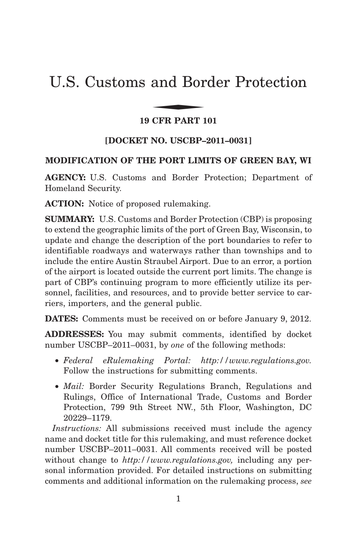# U.S. Customs and Border Protection and Bor

# **19 CFR PART 101**

# **[DOCKET NO. USCBP–2011–0031]**

### **MODIFICATION OF THE PORT LIMITS OF GREEN BAY, WI**

**AGENCY:** U.S. Customs and Border Protection; Department of Homeland Security.

**ACTION:** Notice of proposed rulemaking.

**SUMMARY:** U.S. Customs and Border Protection (CBP) is proposing to extend the geographic limits of the port of Green Bay, Wisconsin, to update and change the description of the port boundaries to refer to identifiable roadways and waterways rather than townships and to include the entire Austin Straubel Airport. Due to an error, a portion of the airport is located outside the current port limits. The change is part of CBP's continuing program to more efficiently utilize its personnel, facilities, and resources, and to provide better service to carriers, importers, and the general public.

**DATES:** Comments must be received on or before January 9, 2012.

**ADDRESSES:** You may submit comments, identified by docket number USCBP–2011–0031, by *one* of the following methods:

- *Federal eRulemaking Portal: http://www.regulations.gov.* Follow the instructions for submitting comments.
- *Mail:* Border Security Regulations Branch, Regulations and Rulings, Office of International Trade, Customs and Border Protection, 799 9th Street NW., 5th Floor, Washington, DC 20229–1179.

*Instructions:* All submissions received must include the agency name and docket title for this rulemaking, and must reference docket number USCBP–2011–0031. All comments received will be posted without change to *http://www.regulations.gov,* including any personal information provided. For detailed instructions on submitting comments and additional information on the rulemaking process, *see*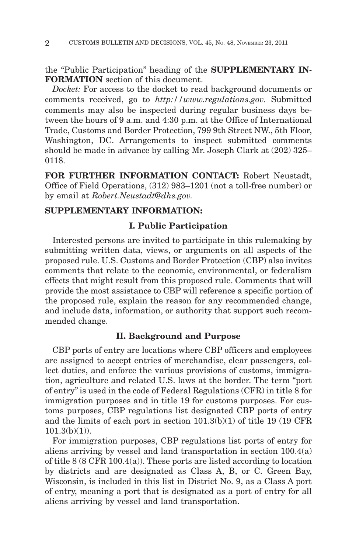the ''Public Participation'' heading of the **SUPPLEMENTARY IN-FORMATION** section of this document.

*Docket:* For access to the docket to read background documents or comments received, go to *http://www.regulations.gov.* Submitted comments may also be inspected during regular business days between the hours of 9 a.m. and 4:30 p.m. at the Office of International Trade, Customs and Border Protection, 799 9th Street NW., 5th Floor, Washington, DC. Arrangements to inspect submitted comments should be made in advance by calling Mr. Joseph Clark at (202) 325– 0118.

**FOR FURTHER INFORMATION CONTACT:** Robert Neustadt, Office of Field Operations, (312) 983–1201 (not a toll-free number) or by email at *Robert.Neustadt@dhs.gov.*

# **SUPPLEMENTARY INFORMATION:**

#### **I. Public Participation**

Interested persons are invited to participate in this rulemaking by submitting written data, views, or arguments on all aspects of the proposed rule. U.S. Customs and Border Protection (CBP) also invites comments that relate to the economic, environmental, or federalism effects that might result from this proposed rule. Comments that will provide the most assistance to CBP will reference a specific portion of the proposed rule, explain the reason for any recommended change, and include data, information, or authority that support such recommended change.

## **II. Background and Purpose**

CBP ports of entry are locations where CBP officers and employees are assigned to accept entries of merchandise, clear passengers, collect duties, and enforce the various provisions of customs, immigration, agriculture and related U.S. laws at the border. The term ''port of entry'' is used in the code of Federal Regulations (CFR) in title 8 for immigration purposes and in title 19 for customs purposes. For customs purposes, CBP regulations list designated CBP ports of entry and the limits of each port in section 101.3(b)(1) of title 19 (19 CFR  $101.3(b)(1)$ ).

For immigration purposes, CBP regulations list ports of entry for aliens arriving by vessel and land transportation in section 100.4(a) of title 8 (8 CFR 100.4(a)). These ports are listed according to location by districts and are designated as Class A, B, or C. Green Bay, Wisconsin, is included in this list in District No. 9, as a Class A port of entry, meaning a port that is designated as a port of entry for all aliens arriving by vessel and land transportation.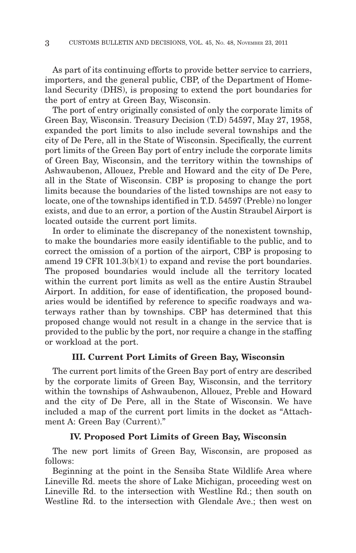As part of its continuing efforts to provide better service to carriers, importers, and the general public, CBP, of the Department of Homeland Security (DHS), is proposing to extend the port boundaries for the port of entry at Green Bay, Wisconsin.

The port of entry originally consisted of only the corporate limits of Green Bay, Wisconsin. Treasury Decision (T.D) 54597, May 27, 1958, expanded the port limits to also include several townships and the city of De Pere, all in the State of Wisconsin. Specifically, the current port limits of the Green Bay port of entry include the corporate limits of Green Bay, Wisconsin, and the territory within the townships of Ashwaubenon, Allouez, Preble and Howard and the city of De Pere, all in the State of Wisconsin. CBP is proposing to change the port limits because the boundaries of the listed townships are not easy to locate, one of the townships identified in T.D. 54597 (Preble) no longer exists, and due to an error, a portion of the Austin Straubel Airport is located outside the current port limits.

In order to eliminate the discrepancy of the nonexistent township, to make the boundaries more easily identifiable to the public, and to correct the omission of a portion of the airport, CBP is proposing to amend 19 CFR 101.3(b)(1) to expand and revise the port boundaries. The proposed boundaries would include all the territory located within the current port limits as well as the entire Austin Straubel Airport. In addition, for ease of identification, the proposed boundaries would be identified by reference to specific roadways and waterways rather than by townships. CBP has determined that this proposed change would not result in a change in the service that is provided to the public by the port, nor require a change in the staffing or workload at the port.

#### **III. Current Port Limits of Green Bay, Wisconsin**

The current port limits of the Green Bay port of entry are described by the corporate limits of Green Bay, Wisconsin, and the territory within the townships of Ashwaubenon, Allouez, Preble and Howard and the city of De Pere, all in the State of Wisconsin. We have included a map of the current port limits in the docket as ''Attachment A: Green Bay (Current).''

#### **IV. Proposed Port Limits of Green Bay, Wisconsin**

The new port limits of Green Bay, Wisconsin, are proposed as follows:

Beginning at the point in the Sensiba State Wildlife Area where Lineville Rd. meets the shore of Lake Michigan, proceeding west on Lineville Rd. to the intersection with Westline Rd.; then south on Westline Rd. to the intersection with Glendale Ave.; then west on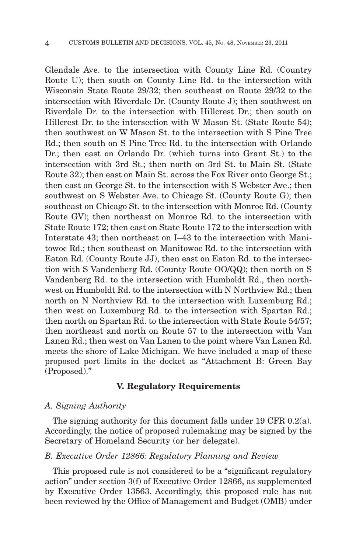Glendale Ave. to the intersection with County Line Rd. (Country Route U); then south on County Line Rd. to the intersection with Wisconsin State Route 29/32; then southeast on Route 29/32 to the intersection with Riverdale Dr. (County Route J); then southwest on Riverdale Dr. to the intersection with Hillcrest Dr.; then south on Hillcrest Dr. to the intersection with W Mason St. (State Route 54); then southwest on W Mason St. to the intersection with S Pine Tree Rd.; then south on S Pine Tree Rd. to the intersection with Orlando Dr.; then east on Orlando Dr. (which turns into Grant St.) to the intersection with 3rd St.; then north on 3rd St. to Main St. (State Route 32); then east on Main St. across the Fox River onto George St.; then east on George St. to the intersection with S Webster Ave.; then southwest on S Webster Ave. to Chicago St. (County Route G); then southeast on Chicago St. to the intersection with Monroe Rd. (County Route GV); then northeast on Monroe Rd. to the intersection with State Route 172; then east on State Route 172 to the intersection with Interstate 43; then northeast on I–43 to the intersection with Manitowoc Rd.; then southeast on Manitowoc Rd. to the intersection with Eaton Rd. (County Route JJ), then east on Eaton Rd. to the intersection with S Vandenberg Rd. (County Route OO/QQ); then north on S Vandenberg Rd. to the intersection with Humboldt Rd., then northwest on Humboldt Rd. to the intersection with N Northview Rd.; then north on N Northview Rd. to the intersection with Luxemburg Rd.; then west on Luxemburg Rd. to the intersection with Spartan Rd.; then north on Spartan Rd. to the intersection with State Route 54/57; then northeast and north on Route 57 to the intersection with Van Lanen Rd.; then west on Van Lanen to the point where Van Lanen Rd. meets the shore of Lake Michigan. We have included a map of these proposed port limits in the docket as ''Attachment B: Green Bay (Proposed).''

#### **V. Regulatory Requirements**

#### *A. Signing Authority*

The signing authority for this document falls under 19 CFR 0.2(a). Accordingly, the notice of proposed rulemaking may be signed by the Secretary of Homeland Security (or her delegate).

# *B. Executive Order 12866: Regulatory Planning and Review*

This proposed rule is not considered to be a "significant regulatory" action'' under section 3(f) of Executive Order 12866, as supplemented by Executive Order 13563. Accordingly, this proposed rule has not been reviewed by the Office of Management and Budget (OMB) under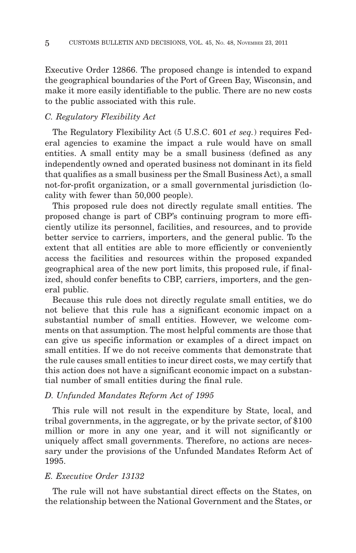Executive Order 12866. The proposed change is intended to expand the geographical boundaries of the Port of Green Bay, Wisconsin, and make it more easily identifiable to the public. There are no new costs to the public associated with this rule.

#### *C. Regulatory Flexibility Act*

The Regulatory Flexibility Act (5 U.S.C. 601 *et seq.*) requires Federal agencies to examine the impact a rule would have on small entities. A small entity may be a small business (defined as any independently owned and operated business not dominant in its field that qualifies as a small business per the Small Business Act), a small not-for-profit organization, or a small governmental jurisdiction (locality with fewer than 50,000 people).

This proposed rule does not directly regulate small entities. The proposed change is part of CBP's continuing program to more efficiently utilize its personnel, facilities, and resources, and to provide better service to carriers, importers, and the general public. To the extent that all entities are able to more efficiently or conveniently access the facilities and resources within the proposed expanded geographical area of the new port limits, this proposed rule, if finalized, should confer benefits to CBP, carriers, importers, and the general public.

Because this rule does not directly regulate small entities, we do not believe that this rule has a significant economic impact on a substantial number of small entities. However, we welcome comments on that assumption. The most helpful comments are those that can give us specific information or examples of a direct impact on small entities. If we do not receive comments that demonstrate that the rule causes small entities to incur direct costs, we may certify that this action does not have a significant economic impact on a substantial number of small entities during the final rule.

#### *D. Unfunded Mandates Reform Act of 1995*

This rule will not result in the expenditure by State, local, and tribal governments, in the aggregate, or by the private sector, of \$100 million or more in any one year, and it will not significantly or uniquely affect small governments. Therefore, no actions are necessary under the provisions of the Unfunded Mandates Reform Act of 1995.

#### *E. Executive Order 13132*

The rule will not have substantial direct effects on the States, on the relationship between the National Government and the States, or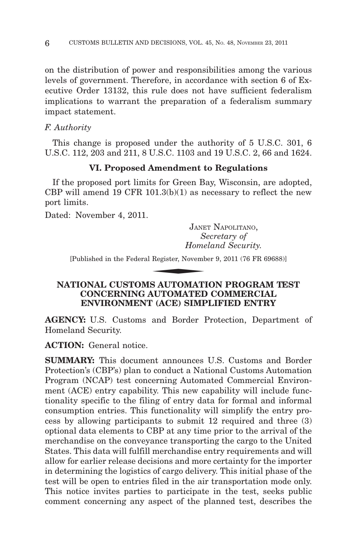on the distribution of power and responsibilities among the various levels of government. Therefore, in accordance with section 6 of Executive Order 13132, this rule does not have sufficient federalism implications to warrant the preparation of a federalism summary impact statement.

## *F. Authority*

This change is proposed under the authority of 5 U.S.C. 301, 6 U.S.C. 112, 203 and 211, 8 U.S.C. 1103 and 19 U.S.C. 2, 66 and 1624.

# **VI. Proposed Amendment to Regulations**

If the proposed port limits for Green Bay, Wisconsin, are adopted, CBP will amend 19 CFR  $101.3(b)(1)$  as necessary to reflect the new port limits.

Dated: November 4, 2011.

JANET NAPOLITANO, *Secretary of Homeland Security.* JANE<br>
S.<br>
Home<br>
Register, Novemb<br>
R.<br>
ALITOMATI

[Published in the Federal Register, November 9, 2011 (76 FR 69688)]

### **NATIONAL CUSTOMS AUTOMATION PROGRAM TEST CONCERNING AUTOMATED COMMERCIAL ENVIRONMENT (ACE) SIMPLIFIED ENTRY**

**AGENCY:** U.S. Customs and Border Protection, Department of Homeland Security.

**ACTION:** General notice.

**SUMMARY:** This document announces U.S. Customs and Border Protection's (CBP's) plan to conduct a National Customs Automation Program (NCAP) test concerning Automated Commercial Environment (ACE) entry capability. This new capability will include functionality specific to the filing of entry data for formal and informal consumption entries. This functionality will simplify the entry process by allowing participants to submit 12 required and three (3) optional data elements to CBP at any time prior to the arrival of the merchandise on the conveyance transporting the cargo to the United States. This data will fulfill merchandise entry requirements and will allow for earlier release decisions and more certainty for the importer in determining the logistics of cargo delivery. This initial phase of the test will be open to entries filed in the air transportation mode only. This notice invites parties to participate in the test, seeks public comment concerning any aspect of the planned test, describes the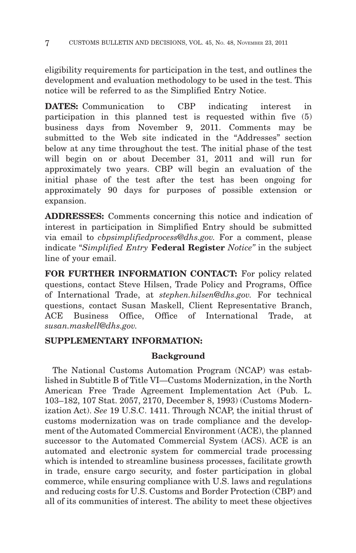eligibility requirements for participation in the test, and outlines the development and evaluation methodology to be used in the test. This notice will be referred to as the Simplified Entry Notice.

**DATES:** Communication to CBP indicating interest in participation in this planned test is requested within five (5) business days from November 9, 2011. Comments may be submitted to the Web site indicated in the "Addresses" section below at any time throughout the test. The initial phase of the test will begin on or about December 31, 2011 and will run for approximately two years. CBP will begin an evaluation of the initial phase of the test after the test has been ongoing for approximately 90 days for purposes of possible extension or expansion.

**ADDRESSES:** Comments concerning this notice and indication of interest in participation in Simplified Entry should be submitted via email to *cbpsimplifiedprocess@dhs.gov.* For a comment, please indicate ''*Simplified Entry* **Federal Register** *Notice''* in the subject line of your email.

**FOR FURTHER INFORMATION CONTACT:** For policy related questions, contact Steve Hilsen, Trade Policy and Programs, Office of International Trade, at *stephen.hilsen@dhs.gov.* For technical questions, contact Susan Maskell, Client Representative Branch, ACE Business Office, Office of International Trade, at *susan.maskell@dhs.gov.*

# **SUPPLEMENTARY INFORMATION:**

# **Background**

The National Customs Automation Program (NCAP) was established in Subtitle B of Title VI—Customs Modernization, in the North American Free Trade Agreement Implementation Act (Pub. L. 103–182, 107 Stat. 2057, 2170, December 8, 1993) (Customs Modernization Act). *See* 19 U.S.C. 1411. Through NCAP, the initial thrust of customs modernization was on trade compliance and the development of the Automated Commercial Environment (ACE), the planned successor to the Automated Commercial System (ACS). ACE is an automated and electronic system for commercial trade processing which is intended to streamline business processes, facilitate growth in trade, ensure cargo security, and foster participation in global commerce, while ensuring compliance with U.S. laws and regulations and reducing costs for U.S. Customs and Border Protection (CBP) and all of its communities of interest. The ability to meet these objectives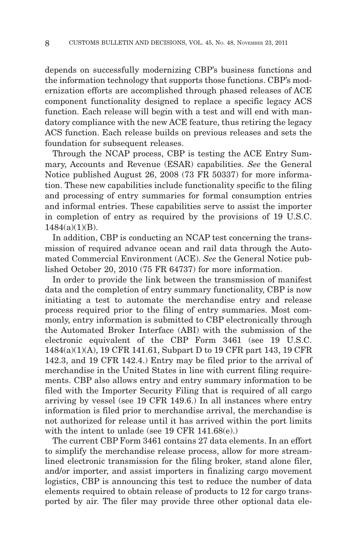depends on successfully modernizing CBP's business functions and the information technology that supports those functions. CBP's modernization efforts are accomplished through phased releases of ACE component functionality designed to replace a specific legacy ACS function. Each release will begin with a test and will end with mandatory compliance with the new ACE feature, thus retiring the legacy ACS function. Each release builds on previous releases and sets the foundation for subsequent releases.

Through the NCAP process, CBP is testing the ACE Entry Summary, Accounts and Revenue (ESAR) capabilities. *See* the General Notice published August 26, 2008 (73 FR 50337) for more information. These new capabilities include functionality specific to the filing and processing of entry summaries for formal consumption entries and informal entries. These capabilities serve to assist the importer in completion of entry as required by the provisions of 19 U.S.C. 1484(a)(1)(B).

In addition, CBP is conducting an NCAP test concerning the transmission of required advance ocean and rail data through the Automated Commercial Environment (ACE). *See* the General Notice published October 20, 2010 (75 FR 64737) for more information.

In order to provide the link between the transmission of manifest data and the completion of entry summary functionality, CBP is now initiating a test to automate the merchandise entry and release process required prior to the filing of entry summaries. Most commonly, entry information is submitted to CBP electronically through the Automated Broker Interface (ABI) with the submission of the electronic equivalent of the CBP Form 3461 (see 19 U.S.C. 1484(a)(1)(A), 19 CFR 141.61, Subpart D to 19 CFR part 143, 19 CFR 142.3, and 19 CFR 142.4.) Entry may be filed prior to the arrival of merchandise in the United States in line with current filing requirements. CBP also allows entry and entry summary information to be filed with the Importer Security Filing that is required of all cargo arriving by vessel (see 19 CFR 149.6.) In all instances where entry information is filed prior to merchandise arrival, the merchandise is not authorized for release until it has arrived within the port limits with the intent to unlade (see 19 CFR 141.68(e).)

The current CBP Form 3461 contains 27 data elements. In an effort to simplify the merchandise release process, allow for more streamlined electronic transmission for the filing broker, stand alone filer, and/or importer, and assist importers in finalizing cargo movement logistics, CBP is announcing this test to reduce the number of data elements required to obtain release of products to 12 for cargo transported by air. The filer may provide three other optional data ele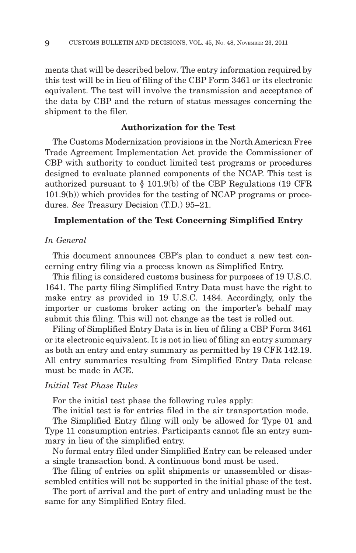ments that will be described below. The entry information required by this test will be in lieu of filing of the CBP Form 3461 or its electronic equivalent. The test will involve the transmission and acceptance of the data by CBP and the return of status messages concerning the shipment to the filer.

#### **Authorization for the Test**

The Customs Modernization provisions in the North American Free Trade Agreement Implementation Act provide the Commissioner of CBP with authority to conduct limited test programs or procedures designed to evaluate planned components of the NCAP. This test is authorized pursuant to § 101.9(b) of the CBP Regulations (19 CFR 101.9(b)) which provides for the testing of NCAP programs or procedures. *See* Treasury Decision (T.D.) 95–21.

#### **Implementation of the Test Concerning Simplified Entry**

#### *In General*

This document announces CBP's plan to conduct a new test concerning entry filing via a process known as Simplified Entry.

This filing is considered customs business for purposes of 19 U.S.C. 1641. The party filing Simplified Entry Data must have the right to make entry as provided in 19 U.S.C. 1484. Accordingly, only the importer or customs broker acting on the importer's behalf may submit this filing. This will not change as the test is rolled out.

Filing of Simplified Entry Data is in lieu of filing a CBP Form 3461 or its electronic equivalent. It is not in lieu of filing an entry summary as both an entry and entry summary as permitted by 19 CFR 142.19. All entry summaries resulting from Simplified Entry Data release must be made in ACE.

#### *Initial Test Phase Rules*

For the initial test phase the following rules apply:

The initial test is for entries filed in the air transportation mode.

The Simplified Entry filing will only be allowed for Type 01 and Type 11 consumption entries. Participants cannot file an entry summary in lieu of the simplified entry.

No formal entry filed under Simplified Entry can be released under a single transaction bond. A continuous bond must be used.

The filing of entries on split shipments or unassembled or disassembled entities will not be supported in the initial phase of the test.

The port of arrival and the port of entry and unlading must be the same for any Simplified Entry filed.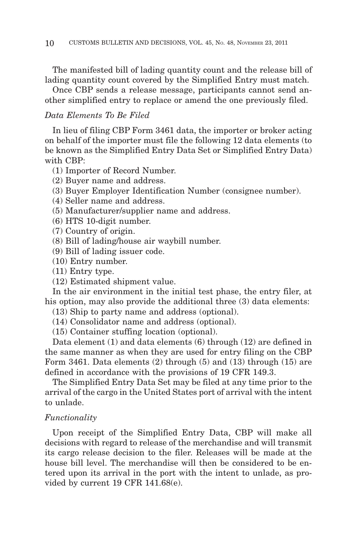The manifested bill of lading quantity count and the release bill of lading quantity count covered by the Simplified Entry must match.

Once CBP sends a release message, participants cannot send another simplified entry to replace or amend the one previously filed.

#### *Data Elements To Be Filed*

In lieu of filing CBP Form 3461 data, the importer or broker acting on behalf of the importer must file the following 12 data elements (to be known as the Simplified Entry Data Set or Simplified Entry Data) with CBP:

- (1) Importer of Record Number.
- (2) Buyer name and address.
- (3) Buyer Employer Identification Number (consignee number).
- (4) Seller name and address.
- (5) Manufacturer/supplier name and address.
- (6) HTS 10-digit number.
- (7) Country of origin.
- (8) Bill of lading/house air waybill number.
- (9) Bill of lading issuer code.
- (10) Entry number.
- (11) Entry type.
- (12) Estimated shipment value.

In the air environment in the initial test phase, the entry filer, at his option, may also provide the additional three (3) data elements:

- (13) Ship to party name and address (optional).
- (14) Consolidator name and address (optional).
- (15) Container stuffing location (optional).

Data element (1) and data elements (6) through (12) are defined in the same manner as when they are used for entry filing on the CBP Form 3461. Data elements (2) through (5) and (13) through (15) are defined in accordance with the provisions of 19 CFR 149.3.

The Simplified Entry Data Set may be filed at any time prior to the arrival of the cargo in the United States port of arrival with the intent to unlade.

#### *Functionality*

Upon receipt of the Simplified Entry Data, CBP will make all decisions with regard to release of the merchandise and will transmit its cargo release decision to the filer. Releases will be made at the house bill level. The merchandise will then be considered to be entered upon its arrival in the port with the intent to unlade, as provided by current 19 CFR 141.68(e).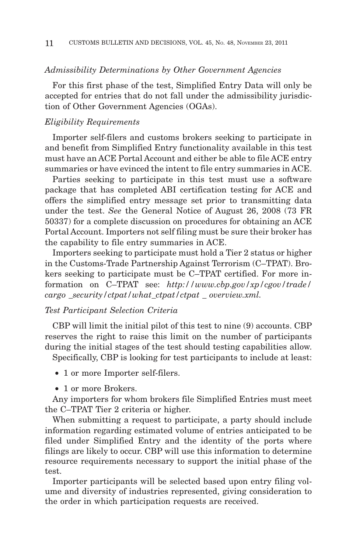#### *Admissibility Determinations by Other Government Agencies*

For this first phase of the test, Simplified Entry Data will only be accepted for entries that do not fall under the admissibility jurisdiction of Other Government Agencies (OGAs).

#### *Eligibility Requirements*

Importer self-filers and customs brokers seeking to participate in and benefit from Simplified Entry functionality available in this test must have an ACE Portal Account and either be able to file ACE entry summaries or have evinced the intent to file entry summaries in ACE.

Parties seeking to participate in this test must use a software package that has completed ABI certification testing for ACE and offers the simplified entry message set prior to transmitting data under the test. *See* the General Notice of August 26, 2008 (73 FR 50337) for a complete discussion on procedures for obtaining an ACE Portal Account. Importers not self filing must be sure their broker has the capability to file entry summaries in ACE.

Importers seeking to participate must hold a Tier 2 status or higher in the Customs-Trade Partnership Against Terrorism (C–TPAT). Brokers seeking to participate must be C–TPAT certified. For more information on C–TPAT see: *http://www.cbp.gov/xp/cgov/trade/ cargo* \_*security/ctpat/what*\_*ctpat/ctpat* \_ *overview.xml.*

#### *Test Participant Selection Criteria*

CBP will limit the initial pilot of this test to nine (9) accounts. CBP reserves the right to raise this limit on the number of participants during the initial stages of the test should testing capabilities allow.

Specifically, CBP is looking for test participants to include at least:

- 1 or more Importer self-filers.
- 1 or more Brokers.

Any importers for whom brokers file Simplified Entries must meet the C–TPAT Tier 2 criteria or higher.

When submitting a request to participate, a party should include information regarding estimated volume of entries anticipated to be filed under Simplified Entry and the identity of the ports where filings are likely to occur. CBP will use this information to determine resource requirements necessary to support the initial phase of the test.

Importer participants will be selected based upon entry filing volume and diversity of industries represented, giving consideration to the order in which participation requests are received.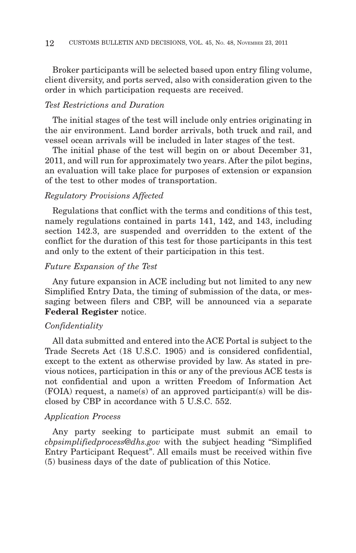Broker participants will be selected based upon entry filing volume, client diversity, and ports served, also with consideration given to the order in which participation requests are received.

#### *Test Restrictions and Duration*

The initial stages of the test will include only entries originating in the air environment. Land border arrivals, both truck and rail, and vessel ocean arrivals will be included in later stages of the test.

The initial phase of the test will begin on or about December 31, 2011, and will run for approximately two years. After the pilot begins, an evaluation will take place for purposes of extension or expansion of the test to other modes of transportation.

#### *Regulatory Provisions Affected*

Regulations that conflict with the terms and conditions of this test, namely regulations contained in parts 141, 142, and 143, including section 142.3, are suspended and overridden to the extent of the conflict for the duration of this test for those participants in this test and only to the extent of their participation in this test.

#### *Future Expansion of the Test*

Any future expansion in ACE including but not limited to any new Simplified Entry Data, the timing of submission of the data, or messaging between filers and CBP, will be announced via a separate **Federal Register** notice.

#### *Confidentiality*

All data submitted and entered into the ACE Portal is subject to the Trade Secrets Act (18 U.S.C. 1905) and is considered confidential, except to the extent as otherwise provided by law. As stated in previous notices, participation in this or any of the previous ACE tests is not confidential and upon a written Freedom of Information Act (FOIA) request, a name(s) of an approved participant(s) will be disclosed by CBP in accordance with 5 U.S.C. 552.

#### *Application Process*

Any party seeking to participate must submit an email to *cbpsimplifiedprocess@dhs.gov* with the subject heading ''Simplified Entry Participant Request''. All emails must be received within five (5) business days of the date of publication of this Notice.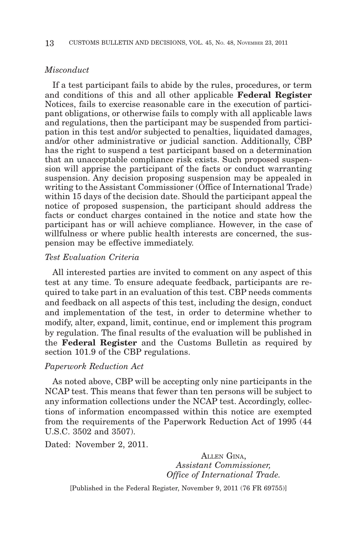#### *Misconduct*

If a test participant fails to abide by the rules, procedures, or term and conditions of this and all other applicable **Federal Register** Notices, fails to exercise reasonable care in the execution of participant obligations, or otherwise fails to comply with all applicable laws and regulations, then the participant may be suspended from participation in this test and/or subjected to penalties, liquidated damages, and/or other administrative or judicial sanction. Additionally, CBP has the right to suspend a test participant based on a determination that an unacceptable compliance risk exists. Such proposed suspension will apprise the participant of the facts or conduct warranting suspension. Any decision proposing suspension may be appealed in writing to the Assistant Commissioner (Office of International Trade) within 15 days of the decision date. Should the participant appeal the notice of proposed suspension, the participant should address the facts or conduct charges contained in the notice and state how the participant has or will achieve compliance. However, in the case of willfulness or where public health interests are concerned, the suspension may be effective immediately.

#### *Test Evaluation Criteria*

All interested parties are invited to comment on any aspect of this test at any time. To ensure adequate feedback, participants are required to take part in an evaluation of this test. CBP needs comments and feedback on all aspects of this test, including the design, conduct and implementation of the test, in order to determine whether to modify, alter, expand, limit, continue, end or implement this program by regulation. The final results of the evaluation will be published in the **Federal Register** and the Customs Bulletin as required by section 101.9 of the CBP regulations.

#### *Paperwork Reduction Act*

As noted above, CBP will be accepting only nine participants in the NCAP test. This means that fewer than ten persons will be subject to any information collections under the NCAP test. Accordingly, collections of information encompassed within this notice are exempted from the requirements of the Paperwork Reduction Act of 1995 (44 U.S.C. 3502 and 3507).

Dated: November 2, 2011.

ALLEN GINA, *Assistant Commissioner, Office of International Trade.*

[Published in the Federal Register, November 9, 2011 (76 FR 69755)]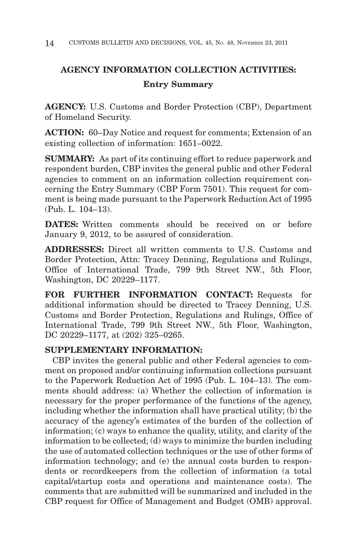# **AGENCY INFORMATION COLLECTION ACTIVITIES: Entry Summary**

**AGENCY:** U.S. Customs and Border Protection (CBP), Department of Homeland Security.

**ACTION:** 60–Day Notice and request for comments; Extension of an existing collection of information: 1651–0022.

**SUMMARY:** As part of its continuing effort to reduce paperwork and respondent burden, CBP invites the general public and other Federal agencies to comment on an information collection requirement concerning the Entry Summary (CBP Form 7501). This request for comment is being made pursuant to the Paperwork Reduction Act of 1995 (Pub. L. 104–13).

**DATES:** Written comments should be received on or before January 9, 2012, to be assured of consideration.

**ADDRESSES:** Direct all written comments to U.S. Customs and Border Protection, Attn: Tracey Denning, Regulations and Rulings, Office of International Trade, 799 9th Street NW., 5th Floor, Washington, DC 20229–1177.

**FOR FURTHER INFORMATION CONTACT:** Requests for additional information should be directed to Tracey Denning, U.S. Customs and Border Protection, Regulations and Rulings, Office of International Trade, 799 9th Street NW., 5th Floor, Washington, DC 20229–1177, at (202) 325–0265.

# **SUPPLEMENTARY INFORMATION:**

CBP invites the general public and other Federal agencies to comment on proposed and/or continuing information collections pursuant to the Paperwork Reduction Act of 1995 (Pub. L. 104–13). The comments should address: (a) Whether the collection of information is necessary for the proper performance of the functions of the agency, including whether the information shall have practical utility; (b) the accuracy of the agency's estimates of the burden of the collection of information; (c) ways to enhance the quality, utility, and clarity of the information to be collected; (d) ways to minimize the burden including the use of automated collection techniques or the use of other forms of information technology; and (e) the annual costs burden to respondents or recordkeepers from the collection of information (a total capital/startup costs and operations and maintenance costs). The comments that are submitted will be summarized and included in the CBP request for Office of Management and Budget (OMB) approval.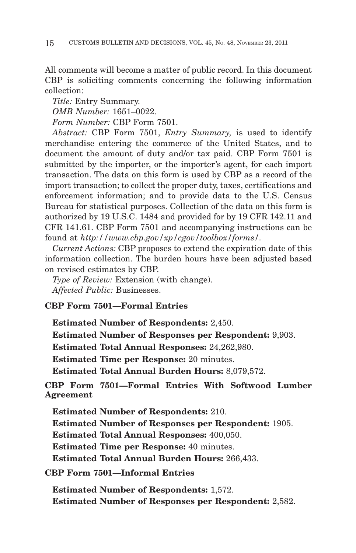All comments will become a matter of public record. In this document CBP is soliciting comments concerning the following information collection:

*Title:* Entry Summary. *OMB Number:* 1651–0022. *Form Number:* CBP Form 7501.

*Abstract:* CBP Form 7501, *Entry Summary,* is used to identify merchandise entering the commerce of the United States, and to document the amount of duty and/or tax paid. CBP Form 7501 is submitted by the importer, or the importer's agent, for each import transaction. The data on this form is used by CBP as a record of the import transaction; to collect the proper duty, taxes, certifications and enforcement information; and to provide data to the U.S. Census Bureau for statistical purposes. Collection of the data on this form is authorized by 19 U.S.C. 1484 and provided for by 19 CFR 142.11 and CFR 141.61. CBP Form 7501 and accompanying instructions can be found at *http://www.cbp.gov/xp/cgov/toolbox/forms/.*

*Current Actions:* CBP proposes to extend the expiration date of this information collection. The burden hours have been adjusted based on revised estimates by CBP.

*Type of Review:* Extension (with change). *Affected Public:* Businesses.

# **CBP Form 7501—Formal Entries**

**Estimated Number of Respondents:** 2,450.

**Estimated Number of Responses per Respondent:** 9,903.

**Estimated Total Annual Responses:** 24,262,980.

**Estimated Time per Response:** 20 minutes.

**Estimated Total Annual Burden Hours:** 8,079,572.

**CBP Form 7501—Formal Entries With Softwood Lumber Agreement**

**Estimated Number of Respondents:** 210. **Estimated Number of Responses per Respondent:** 1905. **Estimated Total Annual Responses:** 400,050. **Estimated Time per Response:** 40 minutes. **Estimated Total Annual Burden Hours:** 266,433.

**CBP Form 7501—Informal Entries**

**Estimated Number of Respondents:** 1,572. **Estimated Number of Responses per Respondent:** 2,582.